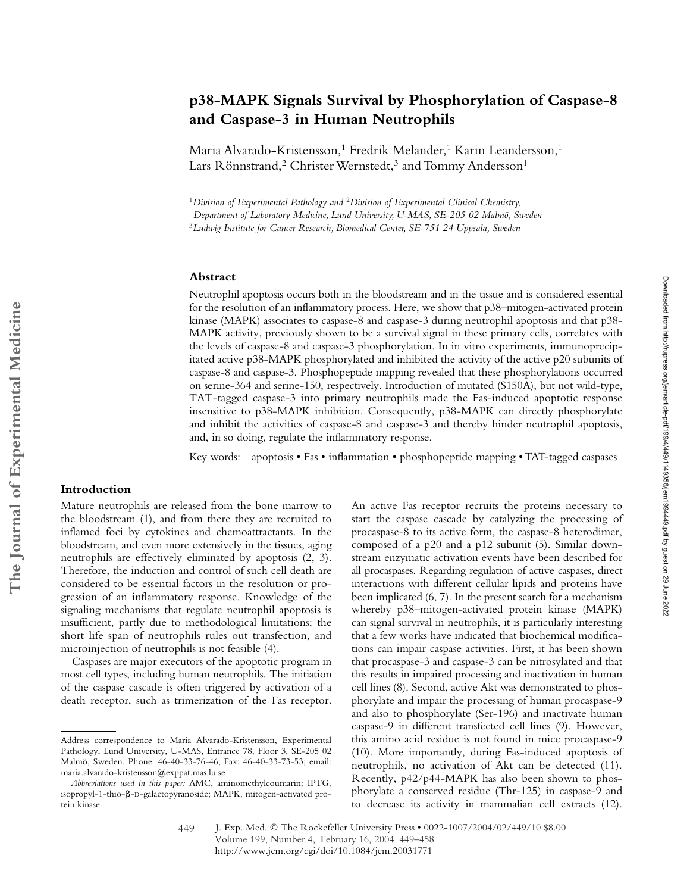# **p38-MAPK Signals Survival by Phosphorylation of Caspase-8 and Caspase-3 in Human Neutrophils**

Maria Alvarado-Kristensson,<sup>1</sup> Fredrik Melander,<sup>1</sup> Karin Leandersson,<sup>1</sup> Lars Rönnstrand,<sup>2</sup> Christer Wernstedt,<sup>3</sup> and Tommy Andersson<sup>1</sup>

<sup>1</sup>*Division of Experimental Pathology and* <sup>2</sup>*Division of Experimental Clinical Chemistry, Department of Laboratory Medicine, Lund University, U-MAS, SE-205 02 Malmö, Sweden*

<sup>3</sup>*Ludwig Institute for Cancer Research, Biomedical Center, SE-751 24 Uppsala, Sweden*

## **Abstract**

Neutrophil apoptosis occurs both in the bloodstream and in the tissue and is considered essential for the resolution of an inflammatory process. Here, we show that p38–mitogen-activated protein kinase (MAPK) associates to caspase-8 and caspase-3 during neutrophil apoptosis and that p38- MAPK activity, previously shown to be a survival signal in these primary cells, correlates with the levels of caspase-8 and caspase-3 phosphorylation. In in vitro experiments, immunoprecipitated active p38-MAPK phosphorylated and inhibited the activity of the active p20 subunits of caspase-8 and caspase-3. Phosphopeptide mapping revealed that these phosphorylations occurred on serine-364 and serine-150, respectively. Introduction of mutated (S150A), but not wild-type, TAT-tagged caspase-3 into primary neutrophils made the Fas-induced apoptotic response insensitive to p38-MAPK inhibition. Consequently, p38-MAPK can directly phosphorylate and inhibit the activities of caspase-8 and caspase-3 and thereby hinder neutrophil apoptosis, and, in so doing, regulate the inflammatory response.

Key words: apoptosis • Fas • inflammation • phosphopeptide mapping • TAT-tagged caspases

# **Introduction**

**The Journal of Experimental Medicine**

The Journal of Experimental Medicine

Mature neutrophils are released from the bone marrow to the bloodstream (1), and from there they are recruited to inflamed foci by cytokines and chemoattractants. In the bloodstream, and even more extensively in the tissues, aging neutrophils are effectively eliminated by apoptosis (2, 3). Therefore, the induction and control of such cell death are considered to be essential factors in the resolution or progression of an inflammatory response. Knowledge of the signaling mechanisms that regulate neutrophil apoptosis is insufficient, partly due to methodological limitations; the short life span of neutrophils rules out transfection, and microinjection of neutrophils is not feasible (4).

Caspases are major executors of the apoptotic program in most cell types, including human neutrophils. The initiation of the caspase cascade is often triggered by activation of a death receptor, such as trimerization of the Fas receptor.

An active Fas receptor recruits the proteins necessary to start the caspase cascade by catalyzing the processing of procaspase-8 to its active form, the caspase-8 heterodimer, composed of a p20 and a p12 subunit (5). Similar downstream enzymatic activation events have been described for all procaspases. Regarding regulation of active caspases, direct interactions with different cellular lipids and proteins have been implicated (6, 7). In the present search for a mechanism whereby p38–mitogen-activated protein kinase (MAPK) can signal survival in neutrophils, it is particularly interesting that a few works have indicated that biochemical modifications can impair caspase activities. First, it has been shown that procaspase-3 and caspase-3 can be nitrosylated and that this results in impaired processing and inactivation in human cell lines (8). Second, active Akt was demonstrated to phosphorylate and impair the processing of human procaspase-9 and also to phosphorylate (Ser-196) and inactivate human caspase-9 in different transfected cell lines (9). However, this amino acid residue is not found in mice procaspase-9 (10). More importantly, during Fas-induced apoptosis of neutrophils, no activation of Akt can be detected (11). Recently, p42/p44-MAPK has also been shown to phosphorylate a conserved residue (Thr-125) in caspase-9 and to decrease its activity in mammalian cell extracts (12).

Address correspondence to Maria Alvarado-Kristensson, Experimental Pathology, Lund University, U-MAS, Entrance 78, Floor 3, SE-205 02 Malmö, Sweden. Phone: 46-40-33-76-46; Fax: 46-40-33-73-53; email: maria.alvarado-kristensson@exppat.mas.lu.se

*Abbreviations used in this paper:* AMC, aminomethylcoumarin; IPTG, isopropyl-1-thio-β-D-galactopyranoside; MAPK, mitogen-activated protein kinase.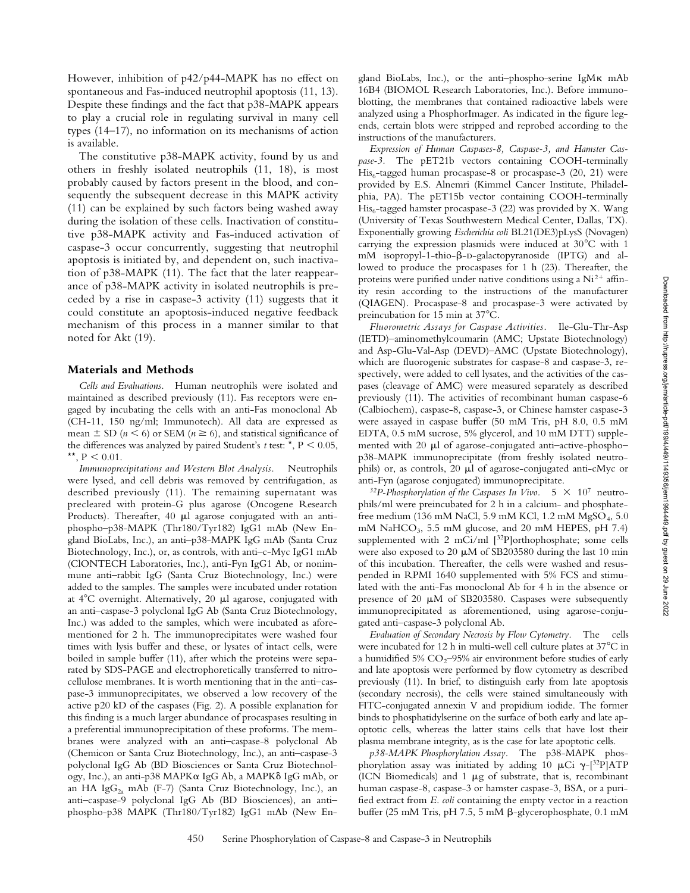However, inhibition of p42/p44-MAPK has no effect on spontaneous and Fas-induced neutrophil apoptosis (11, 13). Despite these findings and the fact that p38-MAPK appears to play a crucial role in regulating survival in many cell types (14–17), no information on its mechanisms of action is available.

The constitutive p38-MAPK activity, found by us and others in freshly isolated neutrophils (11, 18), is most probably caused by factors present in the blood, and consequently the subsequent decrease in this MAPK activity (11) can be explained by such factors being washed away during the isolation of these cells. Inactivation of constitutive p38-MAPK activity and Fas-induced activation of caspase-3 occur concurrently, suggesting that neutrophil apoptosis is initiated by, and dependent on, such inactivation of p38-MAPK (11). The fact that the later reappearance of p38-MAPK activity in isolated neutrophils is preceded by a rise in caspase-3 activity (11) suggests that it could constitute an apoptosis-induced negative feedback mechanism of this process in a manner similar to that noted for Akt (19).

#### **Materials and Methods**

*Cells and Evaluations.* Human neutrophils were isolated and maintained as described previously (11). Fas receptors were engaged by incubating the cells with an anti-Fas monoclonal Ab (CH-11, 150 ng/ml; Immunotech). All data are expressed as mean  $\pm$  SD ( $n \leq 6$ ) or SEM ( $n \geq 6$ ), and statistical significance of the differences was analyzed by paired Student's  $t$  test:  $\star$ ,  $P < 0.05$ , \*\*,  $P < 0.01$ .

*Immunoprecipitations and Western Blot Analysis.* Neutrophils were lysed, and cell debris was removed by centrifugation, as described previously (11). The remaining supernatant was precleared with protein-G plus agarose (Oncogene Research Products). Thereafter,  $40 \mu l$  agarose conjugated with an antiphospho–p38-MAPK (Thr180/Tyr182) IgG1 mAb (New England BioLabs, Inc.), an anti–p38-MAPK IgG mAb (Santa Cruz Biotechnology, Inc.), or, as controls, with anti–c-Myc IgG1 mAb (ClONTECH Laboratories, Inc.), anti-Fyn IgG1 Ab, or nonimmune anti–rabbit IgG (Santa Cruz Biotechnology, Inc.) were added to the samples. The samples were incubated under rotation at  $4^{\circ}$ C overnight. Alternatively, 20  $\mu$ l agarose, conjugated with an anti–caspase-3 polyclonal IgG Ab (Santa Cruz Biotechnology, Inc.) was added to the samples, which were incubated as aforementioned for 2 h. The immunoprecipitates were washed four times with lysis buffer and these, or lysates of intact cells, were boiled in sample buffer (11), after which the proteins were separated by SDS-PAGE and electrophoretically transferred to nitrocellulose membranes. It is worth mentioning that in the anti–caspase-3 immunoprecipitates, we observed a low recovery of the active p20 kD of the caspases (Fig. 2). A possible explanation for this finding is a much larger abundance of procaspases resulting in a preferential immunoprecipitation of these proforms. The membranes were analyzed with an anti–caspase-8 polyclonal Ab (Chemicon or Santa Cruz Biotechnology, Inc.), an anti–caspase-3 polyclonal IgG Ab (BD Biosciences or Santa Cruz Biotechnology, Inc.), an anti-p38 MAPKα IgG Ab, a MAPKδ IgG mAb, or an HA Ig $G_{2a}$  mAb (F-7) (Santa Cruz Biotechnology, Inc.), an anti–caspase-9 polyclonal IgG Ab (BD Biosciences), an anti– phospho-p38 MAPK (Thr180/Tyr182) IgG1 mAb (New En-

gland BioLabs, Inc.), or the anti–phospho-serine IgM mAb 16B4 (BIOMOL Research Laboratories, Inc.). Before immunoblotting, the membranes that contained radioactive labels were analyzed using a PhosphorImager. As indicated in the figure legends, certain blots were stripped and reprobed according to the instructions of the manufacturers.

*Expression of Human Caspases-8, Caspase-3, and Hamster Caspase-3.* The pET21b vectors containing COOH-terminally  $His<sub>6</sub>-tagged human process = 8 or process = 3 (20, 21) were$ provided by E.S. Alnemri (Kimmel Cancer Institute, Philadelphia, PA). The pET15b vector containing COOH-terminally  $His<sub>6</sub>-tagged hamster process.3 (22) was provided by X. Wang$ (University of Texas Southwestern Medical Center, Dallas, TX). Exponentially growing *Escherichia coli* BL21(DE3)pLysS (Novagen) carrying the expression plasmids were induced at  $30^{\circ}$ C with 1 mM isopropyl-1-thio- $\beta$ -D-galactopyranoside (IPTG) and allowed to produce the procaspases for 1 h (23). Thereafter, the proteins were purified under native conditions using a  $Ni<sup>2+</sup>$  affinity resin according to the instructions of the manufacturer (QIAGEN). Procaspase-8 and procaspase-3 were activated by preincubation for 15 min at 37°C.

*Fluorometric Assays for Caspase Activities.* Ile-Glu-Thr-Asp (IETD)–aminomethylcoumarin (AMC; Upstate Biotechnology) and Asp-Glu-Val-Asp (DEVD)–AMC (Upstate Biotechnology), which are fluorogenic substrates for caspase-8 and caspase-3, respectively, were added to cell lysates, and the activities of the caspases (cleavage of AMC) were measured separately as described previously (11). The activities of recombinant human caspase-6 (Calbiochem), caspase-8, caspase-3, or Chinese hamster caspase-3 were assayed in caspase buffer (50 mM Tris, pH 8.0, 0.5 mM EDTA, 0.5 mM sucrose, 5% glycerol, and 10 mM DTT) supplemented with 20  $\mu$ l of agarose-conjugated anti-active-phosphop38-MAPK immunoprecipitate (from freshly isolated neutrophils) or, as controls, 20  $\mu$ l of agarose-conjugated anti-cMyc or anti-Fyn (agarose conjugated) immunoprecipitate.

<sup>32</sup>P-Phosphorylation of the Caspases In Vivo.  $5 \times 10^7$  neutrophils/ml were preincubated for 2 h in a calcium- and phosphatefree medium (136 mM NaCl, 5.9 mM KCl, 1.2 mM  $MgSO_4$ , 5.0 mM NaHCO<sub>3</sub>, 5.5 mM glucose, and 20 mM HEPES, pH 7.4) supplemented with 2 mCi/ml [<sup>32</sup>P]orthophosphate; some cells were also exposed to 20  $\mu$ M of SB203580 during the last 10 min of this incubation. Thereafter, the cells were washed and resuspended in RPMI 1640 supplemented with 5% FCS and stimulated with the anti-Fas monoclonal Ab for 4 h in the absence or presence of 20  $\mu$ M of SB203580. Caspases were subsequently immunoprecipitated as aforementioned, using agarose-conjugated anti–caspase-3 polyclonal Ab.

*Evaluation of Secondary Necrosis by Flow Cytometry.* The cells were incubated for 12 h in multi-well cell culture plates at  $37^{\circ}$ C in a humidified 5%  $CO_2$ –95% air environment before studies of early and late apoptosis were performed by flow cytometry as described previously (11). In brief, to distinguish early from late apoptosis (secondary necrosis), the cells were stained simultaneously with FITC-conjugated annexin V and propidium iodide. The former binds to phosphatidylserine on the surface of both early and late apoptotic cells, whereas the latter stains cells that have lost their plasma membrane integrity, as is the case for late apoptotic cells.

*p38-MAPK Phosphorylation Assay.* The p38-MAPK phosphorylation assay was initiated by adding 10  $\mu$ Ci  $\gamma$ -[32P]ATP (ICN Biomedicals) and  $1 \mu g$  of substrate, that is, recombinant human caspase-8, caspase-3 or hamster caspase-3, BSA, or a purified extract from *E. coli* containing the empty vector in a reaction buffer (25 mM Tris, pH 7.5, 5 mM β-glycerophosphate, 0.1 mM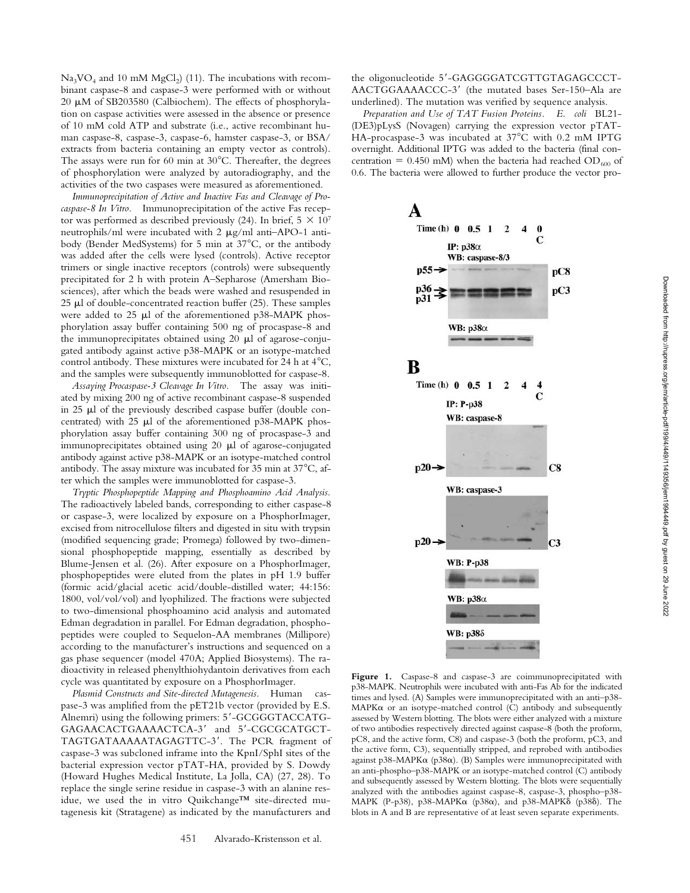$Na<sub>3</sub>VO<sub>4</sub>$  and 10 mM  $MgCl<sub>2</sub>$ ) (11). The incubations with recombinant caspase-8 and caspase-3 were performed with or without 20  $\mu$ M of SB203580 (Calbiochem). The effects of phosphorylation on caspase activities were assessed in the absence or presence of 10 mM cold ATP and substrate (i.e., active recombinant human caspase-8, caspase-3, caspase-6, hamster caspase-3, or BSA/ extracts from bacteria containing an empty vector as controls). The assays were run for 60 min at  $30^{\circ}$ C. Thereafter, the degrees of phosphorylation were analyzed by autoradiography, and the activities of the two caspases were measured as aforementioned.

*Immunoprecipitation of Active and Inactive Fas and Cleavage of Procaspase-8 In Vitro.* Immunoprecipitation of the active Fas receptor was performed as described previously (24). In brief,  $5 \times 10^7$ neutrophils/ml were incubated with  $2 \mu g/ml$  anti-APO-1 antibody (Bender MedSystems) for 5 min at  $37^{\circ}$ C, or the antibody was added after the cells were lysed (controls). Active receptor trimers or single inactive receptors (controls) were subsequently precipitated for 2 h with protein A–Sepharose (Amersham Biosciences), after which the beads were washed and resuspended in  $25 \mu l$  of double-concentrated reaction buffer (25). These samples were added to 25  $\mu$ l of the aforementioned p38-MAPK phosphorylation assay buffer containing 500 ng of procaspase-8 and the immunoprecipitates obtained using 20  $\mu$ l of agarose-conjugated antibody against active p38-MAPK or an isotype-matched control antibody. These mixtures were incubated for 24 h at  $4^{\circ}C$ , and the samples were subsequently immunoblotted for caspase-8.

*Assaying Procaspase-3 Cleavage In Vitro.* The assay was initiated by mixing 200 ng of active recombinant caspase-8 suspended in 25  $\mu$ l of the previously described caspase buffer (double concentrated) with  $25 \mu l$  of the aforementioned p38-MAPK phosphorylation assay buffer containing 300 ng of procaspase-3 and immunoprecipitates obtained using  $20 \mu l$  of agarose-conjugated antibody against active p38-MAPK or an isotype-matched control antibody. The assay mixture was incubated for 35 min at  $37^{\circ}$ C, after which the samples were immunoblotted for caspase-3.

*Tryptic Phosphopeptide Mapping and Phosphoamino Acid Analysis.* The radioactively labeled bands, corresponding to either caspase-8 or caspase-3, were localized by exposure on a PhosphorImager, excised from nitrocellulose filters and digested in situ with trypsin (modified sequencing grade; Promega) followed by two-dimensional phosphopeptide mapping, essentially as described by Blume-Jensen et al. (26). After exposure on a PhosphorImager, phosphopeptides were eluted from the plates in pH 1.9 buffer (formic acid/glacial acetic acid/double-distilled water; 44:156: 1800, vol/vol/vol) and lyophilized. The fractions were subjected to two-dimensional phosphoamino acid analysis and automated Edman degradation in parallel. For Edman degradation, phosphopeptides were coupled to Sequelon-AA membranes (Millipore) according to the manufacturer's instructions and sequenced on a gas phase sequencer (model 470A; Applied Biosystems). The radioactivity in released phenylthiohydantoin derivatives from each cycle was quantitated by exposure on a PhosphorImager.

*Plasmid Constructs and Site-directed Mutagenesis.* Human caspase-3 was amplified from the pET21b vector (provided by E.S. Alnemri) using the following primers: 5'-GCGGGTACCATG-GAGAACACTGAAAACTCA-3' and 5'-CGCGCATGCT-TAGTGATAAAAATAGAGTTC-3'. The PCR fragment of caspase-3 was subcloned inframe into the KpnI/SphI sites of the bacterial expression vector pTAT-HA, provided by S. Dowdy (Howard Hughes Medical Institute, La Jolla, CA) (27, 28). To replace the single serine residue in caspase-3 with an alanine residue, we used the in vitro Quikchange™ site-directed mutagenesis kit (Stratagene) as indicated by the manufacturers and

the oligonucleotide 5'-GAGGGGATCGTTGTAGAGCCCT-AACTGGAAAACCC-3' (the mutated bases Ser-150-Ala are underlined). The mutation was verified by sequence analysis.

*Preparation and Use of TAT Fusion Proteins. E. coli* BL21- (DE3)pLysS (Novagen) carrying the expression vector pTAT-HA-procaspase-3 was incubated at 37°C with 0.2 mM IPTG overnight. Additional IPTG was added to the bacteria (final concentration = 0.450 mM) when the bacteria had reached  $OD_{600}$  of 0.6. The bacteria were allowed to further produce the vector pro-

 $\overline{2}$ 

 $\bf{0}$ C

A

Time (h) 0 0.5 1

IP: p38α



times and lysed. (A) Samples were immunoprecipitated with an anti–p38-  $MAPK\alpha$  or an isotype-matched control (C) antibody and subsequently assessed by Western blotting. The blots were either analyzed with a mixture of two antibodies respectively directed against caspase-8 (both the proform, pC8, and the active form, C8) and caspase-3 (both the proform, pC3, and the active form, C3), sequentially stripped, and reprobed with antibodies against p38-MAPK $\alpha$  (p38 $\alpha$ ). (B) Samples were immunoprecipitated with an anti-phospho–p38-MAPK or an isotype-matched control (C) antibody and subsequently assessed by Western blotting. The blots were sequentially analyzed with the antibodies against caspase-8, caspase-3, phospho–p38- MAPK (P-p38), p38-MAPK $\alpha$  (p38 $\alpha$ ), and p38-MAPK $\delta$  (p38 $\delta$ ). The blots in A and B are representative of at least seven separate experiments.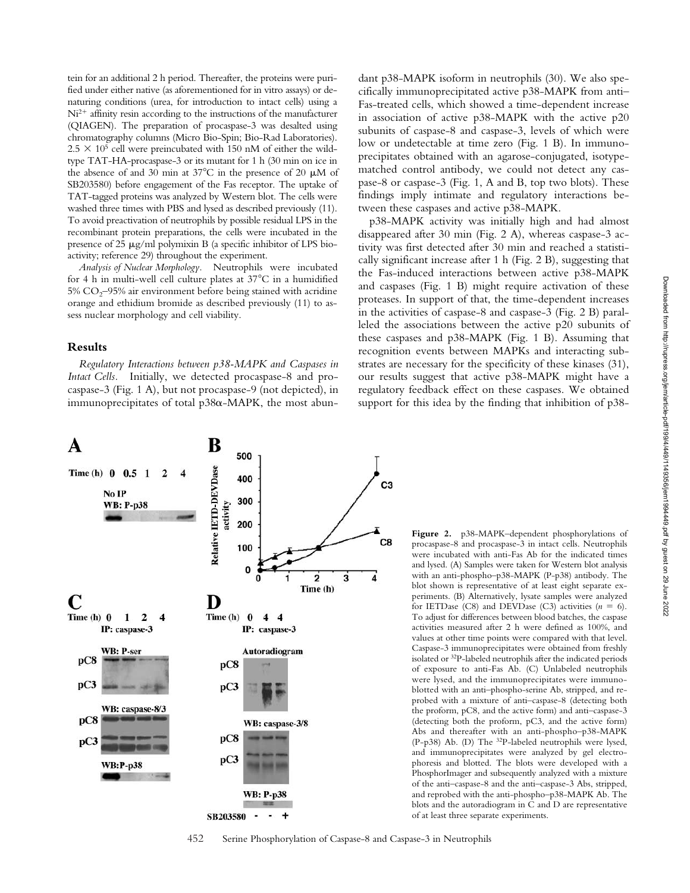tein for an additional 2 h period. Thereafter, the proteins were purified under either native (as aforementioned for in vitro assays) or denaturing conditions (urea, for introduction to intact cells) using a  $Ni<sup>2+</sup>$  affinity resin according to the instructions of the manufacturer (QIAGEN). The preparation of procaspase-3 was desalted using chromatography columns (Micro Bio-Spin; Bio-Rad Laboratories).  $2.5 \times 10^5$  cell were preincubated with 150 nM of either the wildtype TAT-HA-procaspase-3 or its mutant for 1 h (30 min on ice in the absence of and 30 min at  $37^{\circ}$ C in the presence of 20  $\mu$ M of SB203580) before engagement of the Fas receptor. The uptake of TAT-tagged proteins was analyzed by Western blot. The cells were washed three times with PBS and lysed as described previously (11). To avoid preactivation of neutrophils by possible residual LPS in the recombinant protein preparations, the cells were incubated in the presence of 25  $\mu$ g/ml polymixin B (a specific inhibitor of LPS bioactivity; reference 29) throughout the experiment.

*Analysis of Nuclear Morphology.* Neutrophils were incubated for 4 h in multi-well cell culture plates at  $37^{\circ}$ C in a humidified  $5\%$  CO<sub>2</sub>–95% air environment before being stained with acridine orange and ethidium bromide as described previously (11) to assess nuclear morphology and cell viability.

## **Results**

*Regulatory Interactions between p38-MAPK and Caspases in Intact Cells.* Initially, we detected procaspase-8 and procaspase-3 (Fig. 1 A), but not procaspase-9 (not depicted), in immunoprecipitates of total  $p38\alpha$ -MAPK, the most abun-



p38-MAPK activity was initially high and had almost disappeared after 30 min (Fig. 2 A), whereas caspase-3 activity was first detected after 30 min and reached a statistically significant increase after 1 h (Fig. 2 B), suggesting that the Fas-induced interactions between active p38-MAPK and caspases (Fig. 1 B) might require activation of these proteases. In support of that, the time-dependent increases in the activities of caspase-8 and caspase-3 (Fig. 2 B) paralleled the associations between the active p20 subunits of these caspases and p38-MAPK (Fig. 1 B). Assuming that recognition events between MAPKs and interacting substrates are necessary for the specificity of these kinases (31), our results suggest that active p38-MAPK might have a regulatory feedback effect on these caspases. We obtained support for this idea by the finding that inhibition of p38-



**Figure 2.** p38-MAPK–dependent phosphorylations of procaspase-8 and procaspase-3 in intact cells. Neutrophils were incubated with anti-Fas Ab for the indicated times and lysed. (A) Samples were taken for Western blot analysis with an anti-phospho–p38-MAPK (P-p38) antibody. The blot shown is representative of at least eight separate experiments. (B) Alternatively, lysate samples were analyzed for IETDase (C8) and DEVDase (C3) activities  $(n = 6)$ . To adjust for differences between blood batches, the caspase activities measured after 2 h were defined as 100%, and values at other time points were compared with that level. Caspase-3 immunoprecipitates were obtained from freshly isolated or 32P-labeled neutrophils after the indicated periods of exposure to anti-Fas Ab. (C) Unlabeled neutrophils were lysed, and the immunoprecipitates were immunoblotted with an anti–phospho-serine Ab, stripped, and reprobed with a mixture of anti–caspase-8 (detecting both the proform, pC8, and the active form) and anti–caspase-3 (detecting both the proform, pC3, and the active form) Abs and thereafter with an anti-phospho–p38-MAPK (P-p38) Ab. (D) The 32P-labeled neutrophils were lysed, and immunoprecipitates were analyzed by gel electrophoresis and blotted. The blots were developed with a PhosphorImager and subsequently analyzed with a mixture of the anti–caspase-8 and the anti–caspase-3 Abs, stripped, and reprobed with the anti-phospho–p38-MAPK Ab. The blots and the autoradiogram in C and D are representative of at least three separate experiments.

452 Serine Phosphorylation of Caspase-8 and Caspase-3 in Neutrophils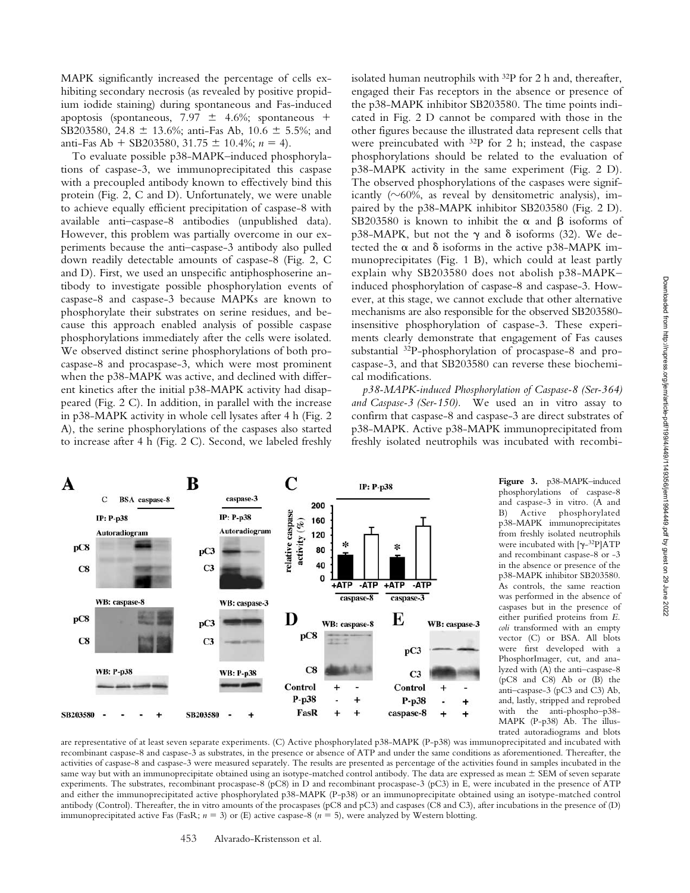MAPK significantly increased the percentage of cells exhibiting secondary necrosis (as revealed by positive propidium iodide staining) during spontaneous and Fas-induced apoptosis (spontaneous,  $7.97 \pm 4.6\%$ ; spontaneous + SB203580, 24.8  $\pm$  13.6%; anti-Fas Ab, 10.6  $\pm$  5.5%; and anti-Fas Ab  $+$  SB203580, 31.75  $\pm$  10.4%; *n* = 4).

To evaluate possible p38-MAPK–induced phosphorylations of caspase-3, we immunoprecipitated this caspase with a precoupled antibody known to effectively bind this protein (Fig. 2, C and D). Unfortunately, we were unable to achieve equally efficient precipitation of caspase-8 with available anti–caspase-8 antibodies (unpublished data). However, this problem was partially overcome in our experiments because the anti–caspase-3 antibody also pulled down readily detectable amounts of caspase-8 (Fig. 2, C and D). First, we used an unspecific antiphosphoserine antibody to investigate possible phosphorylation events of caspase-8 and caspase-3 because MAPKs are known to phosphorylate their substrates on serine residues, and because this approach enabled analysis of possible caspase phosphorylations immediately after the cells were isolated. We observed distinct serine phosphorylations of both procaspase-8 and procaspase-3, which were most prominent when the p38-MAPK was active, and declined with different kinetics after the initial p38-MAPK activity had disappeared (Fig. 2 C). In addition, in parallel with the increase in p38-MAPK activity in whole cell lysates after 4 h (Fig. 2 A), the serine phosphorylations of the caspases also started to increase after 4 h (Fig. 2 C). Second, we labeled freshly

B

pC3

 $C<sub>3</sub>$ 

caspase-3

Autoradiogram

**IP: P-p38** 

A

pC8

 $C8$ 

C

**IP: P-p38** 

Autoradiogram

**BSA** caspase-8

isolated human neutrophils with  $32P$  for 2 h and, thereafter, engaged their Fas receptors in the absence or presence of the p38-MAPK inhibitor SB203580. The time points indicated in Fig. 2 D cannot be compared with those in the other figures because the illustrated data represent cells that were preincubated with 32P for 2 h; instead, the caspase phosphorylations should be related to the evaluation of p38-MAPK activity in the same experiment (Fig. 2 D). The observed phosphorylations of the caspases were significantly ( $\sim$ 60%, as reveal by densitometric analysis), impaired by the p38-MAPK inhibitor SB203580 (Fig. 2 D). SB203580 is known to inhibit the  $\alpha$  and  $\beta$  isoforms of p38-MAPK, but not the  $\gamma$  and  $\delta$  isoforms (32). We detected the  $\alpha$  and  $\delta$  isoforms in the active p38-MAPK immunoprecipitates (Fig. 1 B), which could at least partly explain why SB203580 does not abolish p38-MAPK– induced phosphorylation of caspase-8 and caspase-3. However, at this stage, we cannot exclude that other alternative mechanisms are also responsible for the observed SB203580 insensitive phosphorylation of caspase-3. These experiments clearly demonstrate that engagement of Fas causes substantial 32P-phosphorylation of procaspase-8 and procaspase-3, and that SB203580 can reverse these biochemical modifications.

*p38-MAPK-induced Phosphorylation of Caspase-8 (Ser-364) and Caspase-3 (Ser-150).* We used an in vitro assay to confirm that caspase-8 and caspase-3 are direct substrates of p38-MAPK. Active p38-MAPK immunoprecipitated from freshly isolated neutrophils was incubated with recombi-



C

relative caspase

activity  $(\%)$ 

200

160

120

80

40

O  $+ATP$  IP: P-p38

 $-ATP$ 

caspase-8

+ATP

caspase-3

 $-ATP$ 

**Figure 3.** p38-MAPK–induced phosphorylations of caspase-8 and caspase-3 in vitro. (A and<br>B) Active phosphorylated B) Active phosphorylated p38-MAPK immunoprecipitates from freshly isolated neutrophils were incubated with  $[\gamma^{-32}P]ATP$ and recombinant caspase-8 or -3 in the absence or presence of the p38-MAPK inhibitor SB203580. As controls, the same reaction was performed in the absence of caspases but in the presence of either purified proteins from *E. coli* transformed with an empty vector (C) or BSA. All blots were first developed with a PhosphorImager, cut, and analyzed with (A) the anti–caspase-8 (pC8 and C8) Ab or (B) the anti–caspase-3 (pC3 and C3) Ab, and, lastly, stripped and reprobed with the anti-phospho–p38- MAPK (P-p38) Ab. The illustrated autoradiograms and blots

are representative of at least seven separate experiments. (C) Active phosphorylated p38-MAPK (P-p38) was immunoprecipitated and incubated with recombinant caspase-8 and caspase-3 as substrates, in the presence or absence of ATP and under the same conditions as aforementioned. Thereafter, the activities of caspase-8 and caspase-3 were measured separately. The results are presented as percentage of the activities found in samples incubated in the same way but with an immunoprecipitate obtained using an isotype-matched control antibody. The data are expressed as mean  $\pm$  SEM of seven separate experiments. The substrates, recombinant procaspase-8 (pC8) in D and recombinant procaspase-3 (pC3) in E, were incubated in the presence of ATP and either the immunoprecipitated active phosphorylated p38-MAPK (P-p38) or an immunoprecipitate obtained using an isotype-matched control antibody (Control). Thereafter, the in vitro amounts of the procaspases (pC8 and pC3) and caspases (C8 and C3), after incubations in the presence of (D) immunoprecipitated active Fas (FasR;  $n = 3$ ) or (E) active caspase-8 ( $n = 5$ ), were analyzed by Western blotting.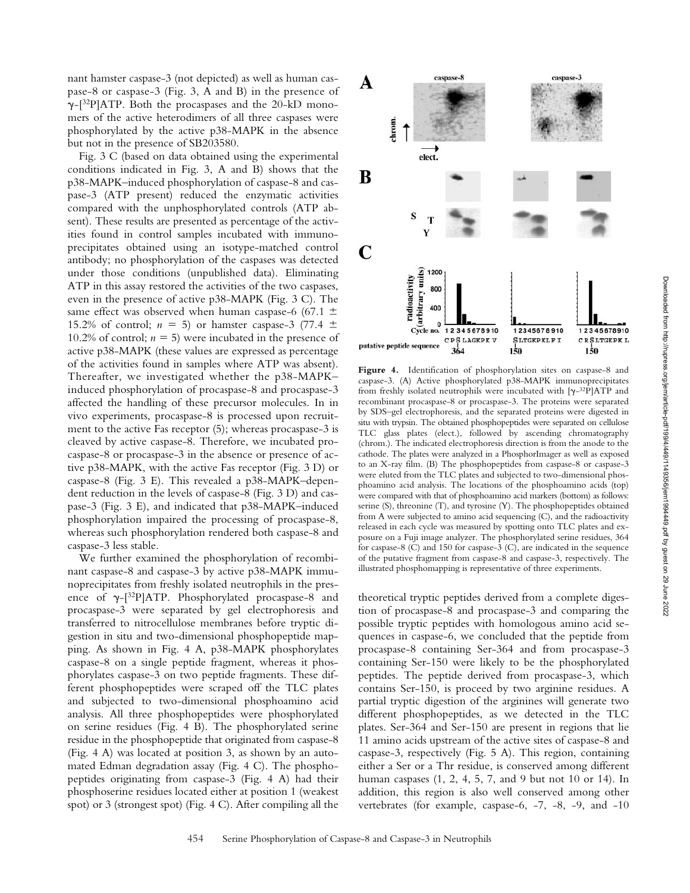nant hamster caspase-3 (not depicted) as well as human caspase-8 or caspase-3 (Fig. 3, A and B) in the presence of  $\gamma$ -[<sup>32</sup>P]ATP. Both the procaspases and the 20-kD monomers of the active heterodimers of all three caspases were phosphorylated by the active p38-MAPK in the absence but not in the presence of SB203580.

Fig. 3 C (based on data obtained using the experimental conditions indicated in Fig. 3, A and B) shows that the p38-MAPK–induced phosphorylation of caspase-8 and caspase-3 (ATP present) reduced the enzymatic activities compared with the unphosphorylated controls (ATP absent). These results are presented as percentage of the activities found in control samples incubated with immunoprecipitates obtained using an isotype-matched control antibody; no phosphorylation of the caspases was detected under those conditions (unpublished data). Eliminating ATP in this assay restored the activities of the two caspases, even in the presence of active p38-MAPK (Fig. 3 C). The same effect was observed when human caspase-6 (67.1  $\pm$ 15.2% of control;  $n = 5$ ) or hamster caspase-3 (77.4  $\pm$ 10.2% of control;  $n = 5$ ) were incubated in the presence of active p38-MAPK (these values are expressed as percentage of the activities found in samples where ATP was absent). Thereafter, we investigated whether the p38-MAPK– induced phosphorylation of procaspase-8 and procaspase-3 affected the handling of these precursor molecules. In in vivo experiments, procaspase-8 is processed upon recruitment to the active Fas receptor (5); whereas procaspase-3 is cleaved by active caspase-8. Therefore, we incubated procaspase-8 or procaspase-3 in the absence or presence of active p38-MAPK, with the active Fas receptor (Fig. 3 D) or caspase-8 (Fig. 3 E). This revealed a p38-MAPK–dependent reduction in the levels of caspase-8 (Fig. 3 D) and caspase-3 (Fig. 3 E), and indicated that p38-MAPK–induced phosphorylation impaired the processing of procaspase-8, whereas such phosphorylation rendered both caspase-8 and caspase-3 less stable.

We further examined the phosphorylation of recombinant caspase-8 and caspase-3 by active p38-MAPK immunoprecipitates from freshly isolated neutrophils in the presence of  $\gamma$ -[32P]ATP. Phosphorylated procaspase-8 and procaspase-3 were separated by gel electrophoresis and transferred to nitrocellulose membranes before tryptic digestion in situ and two-dimensional phosphopeptide mapping. As shown in Fig. 4 A, p38-MAPK phosphorylates caspase-8 on a single peptide fragment, whereas it phosphorylates caspase-3 on two peptide fragments. These different phosphopeptides were scraped off the TLC plates and subjected to two-dimensional phosphoamino acid analysis. All three phosphopeptides were phosphorylated on serine residues (Fig. 4 B). The phosphorylated serine residue in the phosphopeptide that originated from caspase-8 (Fig. 4 A) was located at position 3, as shown by an automated Edman degradation assay (Fig. 4 C). The phosphopeptides originating from caspase-3 (Fig. 4 A) had their phosphoserine residues located either at position 1 (weakest spot) or 3 (strongest spot) (Fig. 4 C). After compiling all the



Figure 4. Identification of phosphorylation sites on caspase-8 and caspase-3. (A) Active phosphorylated p38-MAPK immunoprecipitates from freshly isolated neutrophils were incubated with  $[\gamma^{-32}P]ATP$  and recombinant procaspase-8 or procaspase-3. The proteins were separated by SDS–gel electrophoresis, and the separated proteins were digested in situ with trypsin. The obtained phosphopeptides were separated on cellulose TLC glass plates (elect.), followed by ascending chromatography (chrom.). The indicated electrophoresis direction is from the anode to the cathode. The plates were analyzed in a PhosphorImager as well as exposed to an X-ray film. (B) The phosphopeptides from caspase-8 or caspase-3 were eluted from the TLC plates and subjected to two-dimensional phosphoamino acid analysis. The locations of the phosphoamino acids (top) were compared with that of phosphoamino acid markers (bottom) as follows: serine (S), threonine (T), and tyrosine (Y). The phosphopeptides obtained from A were subjected to amino acid sequencing (C), and the radioactivity released in each cycle was measured by spotting onto TLC plates and exposure on a Fuji image analyzer. The phosphorylated serine residues, 364 for caspase-8 (C) and 150 for caspase-3 (C), are indicated in the sequence of the putative fragment from caspase-8 and caspase-3, respectively. The illustrated phosphomapping is representative of three experiments.

theoretical tryptic peptides derived from a complete digestion of procaspase-8 and procaspase-3 and comparing the possible tryptic peptides with homologous amino acid sequences in caspase-6, we concluded that the peptide from procaspase-8 containing Ser-364 and from procaspase-3 containing Ser-150 were likely to be the phosphorylated peptides. The peptide derived from procaspase-3, which contains Ser-150, is proceed by two arginine residues. A partial tryptic digestion of the arginines will generate two different phosphopeptides, as we detected in the TLC plates. Ser-364 and Ser-150 are present in regions that lie 11 amino acids upstream of the active sites of caspase-8 and caspase-3, respectively (Fig. 5 A). This region, containing either a Ser or a Thr residue, is conserved among different human caspases (1, 2, 4, 5, 7, and 9 but not 10 or 14). In addition, this region is also well conserved among other vertebrates (for example, caspase-6, -7, -8, -9, and -10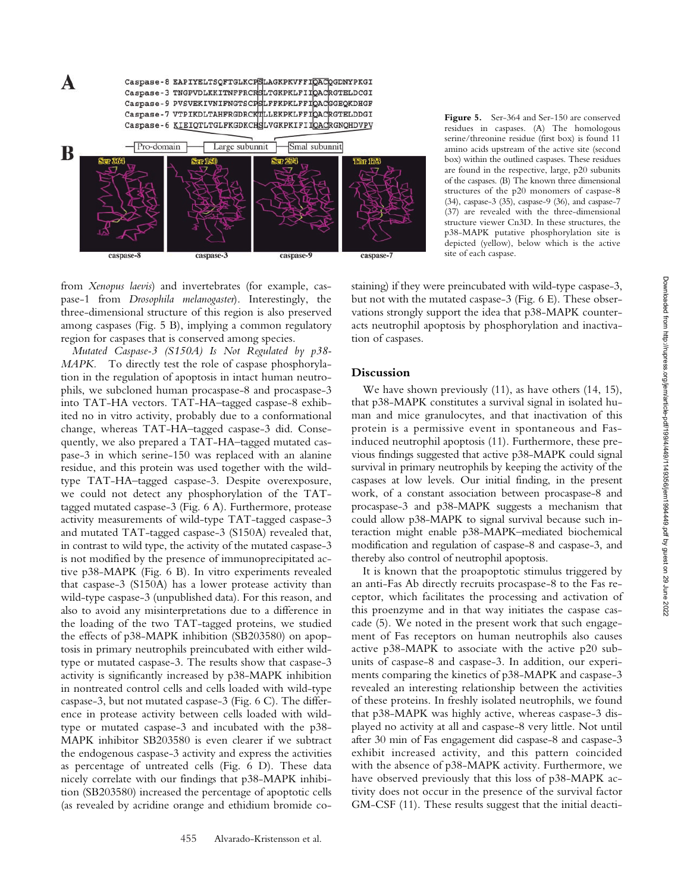Caspase-8 EAPIYELTSQFTGLKCPSLAGKPKVFFIQACQGDNYPKGI Caspase-3 TNGPVDLKKITNFFRCRSLTGKPKLFIIQACRGTELDCGI Caspase-9 PVSVEKIVNIFNGTSCPSLFFKPKLFFIQACGGEQKDHGF Caspase-7 VTPIKDLTAHFRGDRCKTLLEKPKLFFIQACRGTELDDGI Caspase-6 KIEIQTLTGLFKGDKCHSLVGKPKIFIIQACRGNQHDVPV



**Figure 5.** Ser-364 and Ser-150 are conserved residues in caspases. (A) The homologous serine/threonine residue (first box) is found 11 amino acids upstream of the active site (second box) within the outlined caspases. These residues are found in the respective, large, p20 subunits of the caspases. (B) The known three dimensional structures of the p20 monomers of caspase-8 (34), caspase-3 (35), caspase-9 (36), and caspase-7 (37) are revealed with the three-dimensional structure viewer Cn3D. In these structures, the p38-MAPK putative phosphorylation site is depicted (yellow), below which is the active site of each caspase.

from *Xenopus laevis*) and invertebrates (for example, caspase-1 from *Drosophila melanogaster*). Interestingly, the three-dimensional structure of this region is also preserved among caspases (Fig. 5 B), implying a common regulatory region for caspases that is conserved among species.

A

*Mutated Caspase-3 (S150A) Is Not Regulated by p38- MAPK.* To directly test the role of caspase phosphorylation in the regulation of apoptosis in intact human neutrophils, we subcloned human procaspase-8 and procaspase-3 into TAT-HA vectors. TAT-HA–tagged caspase-8 exhibited no in vitro activity, probably due to a conformational change, whereas TAT-HA–tagged caspase-3 did. Consequently, we also prepared a TAT-HA–tagged mutated caspase-3 in which serine-150 was replaced with an alanine residue, and this protein was used together with the wildtype TAT-HA–tagged caspase-3. Despite overexposure, we could not detect any phosphorylation of the TATtagged mutated caspase-3 (Fig. 6 A). Furthermore, protease activity measurements of wild-type TAT-tagged caspase-3 and mutated TAT-tagged caspase-3 (S150A) revealed that, in contrast to wild type, the activity of the mutated caspase-3 is not modified by the presence of immunoprecipitated active p38-MAPK (Fig. 6 B). In vitro experiments revealed that caspase-3 (S150A) has a lower protease activity than wild-type caspase-3 (unpublished data). For this reason, and also to avoid any misinterpretations due to a difference in the loading of the two TAT-tagged proteins, we studied the effects of p38-MAPK inhibition (SB203580) on apoptosis in primary neutrophils preincubated with either wildtype or mutated caspase-3. The results show that caspase-3 activity is significantly increased by p38-MAPK inhibition in nontreated control cells and cells loaded with wild-type caspase-3, but not mutated caspase-3 (Fig. 6 C). The difference in protease activity between cells loaded with wildtype or mutated caspase-3 and incubated with the p38- MAPK inhibitor SB203580 is even clearer if we subtract the endogenous caspase-3 activity and express the activities as percentage of untreated cells (Fig. 6 D). These data nicely correlate with our findings that p38-MAPK inhibition (SB203580) increased the percentage of apoptotic cells (as revealed by acridine orange and ethidium bromide costaining) if they were preincubated with wild-type caspase-3, but not with the mutated caspase-3 (Fig. 6 E). These observations strongly support the idea that p38-MAPK counteracts neutrophil apoptosis by phosphorylation and inactivation of caspases.

# **Discussion**

We have shown previously (11), as have others (14, 15), that p38-MAPK constitutes a survival signal in isolated human and mice granulocytes, and that inactivation of this protein is a permissive event in spontaneous and Fasinduced neutrophil apoptosis (11). Furthermore, these previous findings suggested that active p38-MAPK could signal survival in primary neutrophils by keeping the activity of the caspases at low levels. Our initial finding, in the present work, of a constant association between procaspase-8 and procaspase-3 and p38-MAPK suggests a mechanism that could allow p38-MAPK to signal survival because such interaction might enable p38-MAPK–mediated biochemical modification and regulation of caspase-8 and caspase-3, and thereby also control of neutrophil apoptosis.

It is known that the proapoptotic stimulus triggered by an anti-Fas Ab directly recruits procaspase-8 to the Fas receptor, which facilitates the processing and activation of this proenzyme and in that way initiates the caspase cascade (5). We noted in the present work that such engagement of Fas receptors on human neutrophils also causes active p38-MAPK to associate with the active p20 subunits of caspase-8 and caspase-3. In addition, our experiments comparing the kinetics of p38-MAPK and caspase-3 revealed an interesting relationship between the activities of these proteins. In freshly isolated neutrophils, we found that p38-MAPK was highly active, whereas caspase-3 displayed no activity at all and caspase-8 very little. Not until after 30 min of Fas engagement did caspase-8 and caspase-3 exhibit increased activity, and this pattern coincided with the absence of p38-MAPK activity. Furthermore, we have observed previously that this loss of p38-MAPK activity does not occur in the presence of the survival factor GM-CSF (11). These results suggest that the initial deacti-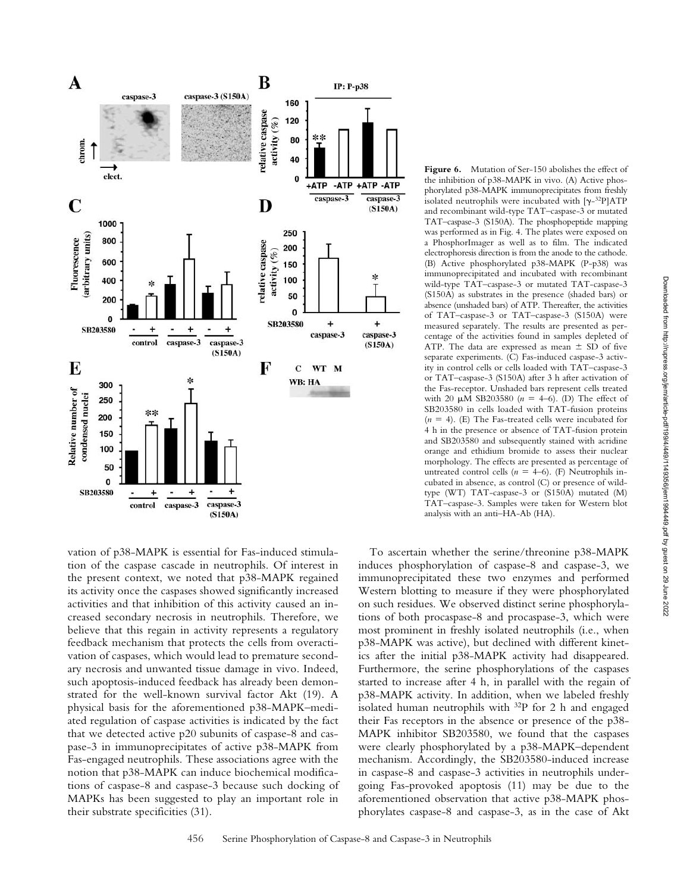

vation of p38-MAPK is essential for Fas-induced stimulation of the caspase cascade in neutrophils. Of interest in the present context, we noted that p38-MAPK regained its activity once the caspases showed significantly increased activities and that inhibition of this activity caused an increased secondary necrosis in neutrophils. Therefore, we believe that this regain in activity represents a regulatory feedback mechanism that protects the cells from overactivation of caspases, which would lead to premature secondary necrosis and unwanted tissue damage in vivo. Indeed, such apoptosis-induced feedback has already been demonstrated for the well-known survival factor Akt (19). A physical basis for the aforementioned p38-MAPK–mediated regulation of caspase activities is indicated by the fact that we detected active p20 subunits of caspase-8 and caspase-3 in immunoprecipitates of active p38-MAPK from Fas-engaged neutrophils. These associations agree with the notion that p38-MAPK can induce biochemical modifications of caspase-8 and caspase-3 because such docking of MAPKs has been suggested to play an important role in their substrate specificities (31).

Figure 6. Mutation of Ser-150 abolishes the effect of the inhibition of p38-MAPK in vivo. (A) Active phosphorylated p38-MAPK immunoprecipitates from freshly isolated neutrophils were incubated with  $[\gamma^{-32}P]ATP$ and recombinant wild-type TAT–caspase-3 or mutated TAT–caspase-3 (S150A). The phosphopeptide mapping was performed as in Fig. 4. The plates were exposed on a PhosphorImager as well as to film. The indicated electrophoresis direction is from the anode to the cathode. (B) Active phosphorylated p38-MAPK (P-p38) was immunoprecipitated and incubated with recombinant wild-type TAT–caspase-3 or mutated TAT-caspase-3 (S150A) as substrates in the presence (shaded bars) or absence (unshaded bars) of ATP. Thereafter, the activities of TAT–caspase-3 or TAT–caspase-3 (S150A) were measured separately. The results are presented as percentage of the activities found in samples depleted of ATP. The data are expressed as mean  $\pm$  SD of five separate experiments. (C) Fas-induced caspase-3 activity in control cells or cells loaded with TAT–caspase-3 or TAT–caspase-3 (S150A) after 3 h after activation of the Fas-receptor. Unshaded bars represent cells treated with 20  $\mu$ M SB203580 (*n* = 4–6). (D) The effect of SB203580 in cells loaded with TAT-fusion proteins  $(n = 4)$ . (E) The Fas-treated cells were incubated for 4 h in the presence or absence of TAT-fusion protein and SB203580 and subsequently stained with acridine orange and ethidium bromide to assess their nuclear morphology. The effects are presented as percentage of untreated control cells  $(n = 4-6)$ . (F) Neutrophils incubated in absence, as control (C) or presence of wildtype (WT) TAT-caspase-3 or (S150A) mutated (M) TAT–caspase-3. Samples were taken for Western blot analysis with an anti–HA-Ab (HA).

To ascertain whether the serine/threonine p38-MAPK induces phosphorylation of caspase-8 and caspase-3, we immunoprecipitated these two enzymes and performed Western blotting to measure if they were phosphorylated on such residues. We observed distinct serine phosphorylations of both procaspase-8 and procaspase-3, which were most prominent in freshly isolated neutrophils (i.e., when p38-MAPK was active), but declined with different kinetics after the initial p38-MAPK activity had disappeared. Furthermore, the serine phosphorylations of the caspases started to increase after 4 h, in parallel with the regain of p38-MAPK activity. In addition, when we labeled freshly isolated human neutrophils with <sup>32</sup>P for 2 h and engaged their Fas receptors in the absence or presence of the p38- MAPK inhibitor SB203580, we found that the caspases were clearly phosphorylated by a p38-MAPK–dependent mechanism. Accordingly, the SB203580-induced increase in caspase-8 and caspase-3 activities in neutrophils undergoing Fas-provoked apoptosis (11) may be due to the aforementioned observation that active p38-MAPK phosphorylates caspase-8 and caspase-3, as in the case of Akt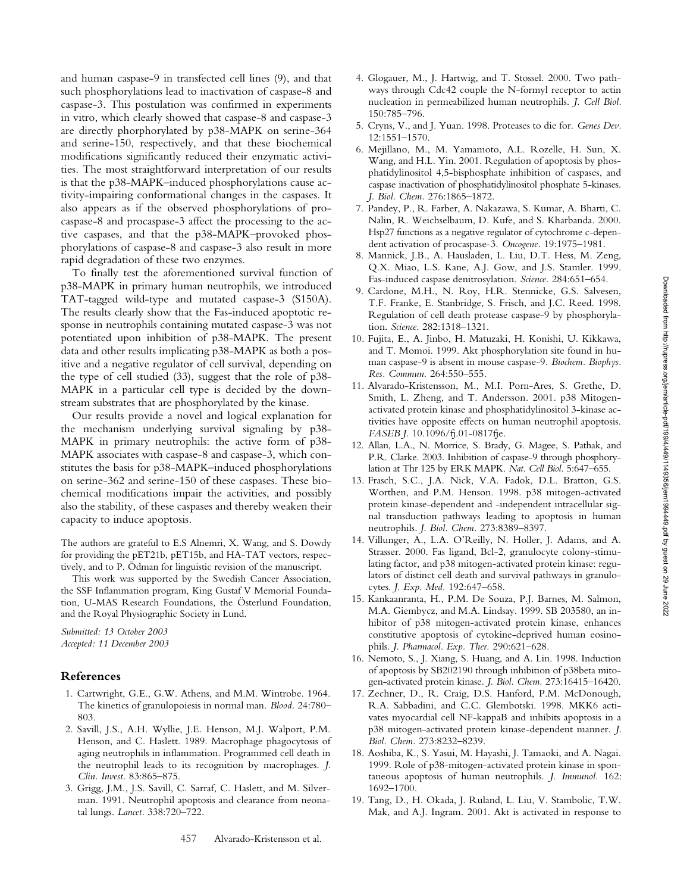and human caspase-9 in transfected cell lines (9), and that such phosphorylations lead to inactivation of caspase-8 and caspase-3. This postulation was confirmed in experiments in vitro, which clearly showed that caspase-8 and caspase-3 are directly phorphorylated by p38-MAPK on serine-364 and serine-150, respectively, and that these biochemical modifications significantly reduced their enzymatic activities. The most straightforward interpretation of our results is that the p38-MAPK–induced phosphorylations cause activity-impairing conformational changes in the caspases. It also appears as if the observed phosphorylations of procaspase-8 and procaspase-3 affect the processing to the active caspases, and that the p38-MAPK–provoked phosphorylations of caspase-8 and caspase-3 also result in more rapid degradation of these two enzymes.

To finally test the aforementioned survival function of p38-MAPK in primary human neutrophils, we introduced TAT-tagged wild-type and mutated caspase-3 (S150A). The results clearly show that the Fas-induced apoptotic response in neutrophils containing mutated caspase-3 was not potentiated upon inhibition of p38-MAPK. The present data and other results implicating p38-MAPK as both a positive and a negative regulator of cell survival, depending on the type of cell studied (33), suggest that the role of p38- MAPK in a particular cell type is decided by the downstream substrates that are phosphorylated by the kinase.

Our results provide a novel and logical explanation for the mechanism underlying survival signaling by p38- MAPK in primary neutrophils: the active form of p38- MAPK associates with caspase-8 and caspase-3, which constitutes the basis for p38-MAPK–induced phosphorylations on serine-362 and serine-150 of these caspases. These biochemical modifications impair the activities, and possibly also the stability, of these caspases and thereby weaken their capacity to induce apoptosis.

The authors are grateful to E.S Alnemri, X. Wang, and S. Dowdy for providing the pET21b, pET15b, and HA-TAT vectors, respectively, and to P. Ödman for linguistic revision of the manuscript.

This work was supported by the Swedish Cancer Association, the SSF Inflammation program, King Gustaf V Memorial Foundation, U-MAS Research Foundations, the Österlund Foundation, and the Royal Physiographic Society in Lund.

*Submitted: 13 October 2003 Accepted: 11 December 2003*

# **References**

- 1. Cartwright, G.E., G.W. Athens, and M.M. Wintrobe. 1964. The kinetics of granulopoiesis in normal man. *Blood.* 24:780– 803.
- 2. Savill, J.S., A.H. Wyllie, J.E. Henson, M.J. Walport, P.M. Henson, and C. Haslett. 1989. Macrophage phagocytosis of aging neutrophils in inflammation. Programmed cell death in the neutrophil leads to its recognition by macrophages. *J. Clin. Invest.* 83:865–875.
- 3. Grigg, J.M., J.S. Savill, C. Sarraf, C. Haslett, and M. Silverman. 1991. Neutrophil apoptosis and clearance from neonatal lungs. *Lancet.* 338:720–722.
- 4. Glogauer, M., J. Hartwig, and T. Stossel. 2000. Two pathways through Cdc42 couple the N-formyl receptor to actin nucleation in permeabilized human neutrophils. *J. Cell Biol.* 150:785–796.
- 5. Cryns, V., and J. Yuan. 1998. Proteases to die for. *Genes Dev.* 12:1551–1570.
- 6. Mejillano, M., M. Yamamoto, A.L. Rozelle, H. Sun, X. Wang, and H.L. Yin. 2001. Regulation of apoptosis by phosphatidylinositol 4,5-bisphosphate inhibition of caspases, and caspase inactivation of phosphatidylinositol phosphate 5-kinases. *J. Biol. Chem.* 276:1865–1872.
- 7. Pandey, P., R. Farber, A. Nakazawa, S. Kumar, A. Bharti, C. Nalin, R. Weichselbaum, D. Kufe, and S. Kharbanda. 2000. Hsp27 functions as a negative regulator of cytochrome c-dependent activation of procaspase-3. *Oncogene.* 19:1975–1981.
- 8. Mannick, J.B., A. Hausladen, L. Liu, D.T. Hess, M. Zeng, Q.X. Miao, L.S. Kane, A.J. Gow, and J.S. Stamler. 1999. Fas-induced caspase denitrosylation. *Science.* 284:651–654.
- 9. Cardone, M.H., N. Roy, H.R. Stennicke, G.S. Salvesen, T.F. Franke, E. Stanbridge, S. Frisch, and J.C. Reed. 1998. Regulation of cell death protease caspase-9 by phosphorylation. *Science.* 282:1318–1321.
- 10. Fujita, E., A. Jinbo, H. Matuzaki, H. Konishi, U. Kikkawa, and T. Momoi. 1999. Akt phosphorylation site found in human caspase-9 is absent in mouse caspase-9. *Biochem. Biophys. Res. Commun.* 264:550–555.
- 11. Alvarado-Kristensson, M., M.I. Porn-Ares, S. Grethe, D. Smith, L. Zheng, and T. Andersson. 2001. p38 Mitogenactivated protein kinase and phosphatidylinositol 3-kinase activities have opposite effects on human neutrophil apoptosis. *FASEB J.* 10.1096/fj.01-0817fje.
- 12. Allan, L.A., N. Morrice, S. Brady, G. Magee, S. Pathak, and P.R. Clarke. 2003. Inhibition of caspase-9 through phosphorylation at Thr 125 by ERK MAPK. *Nat. Cell Biol.* 5:647–655.
- 13. Frasch, S.C., J.A. Nick, V.A. Fadok, D.L. Bratton, G.S. Worthen, and P.M. Henson. 1998. p38 mitogen-activated protein kinase-dependent and -independent intracellular signal transduction pathways leading to apoptosis in human neutrophils. *J. Biol. Chem.* 273:8389–8397.
- 14. Villunger, A., L.A. O'Reilly, N. Holler, J. Adams, and A. Strasser. 2000. Fas ligand, Bcl-2, granulocyte colony-stimulating factor, and p38 mitogen-activated protein kinase: regulators of distinct cell death and survival pathways in granulocytes. *J. Exp. Med.* 192:647–658.
- 15. Kankaanranta, H., P.M. De Souza, P.J. Barnes, M. Salmon, M.A. Giembycz, and M.A. Lindsay. 1999. SB 203580, an inhibitor of p38 mitogen-activated protein kinase, enhances constitutive apoptosis of cytokine-deprived human eosinophils. *J. Pharmacol. Exp. Ther.* 290:621–628.
- 16. Nemoto, S., J. Xiang, S. Huang, and A. Lin. 1998. Induction of apoptosis by SB202190 through inhibition of p38beta mitogen-activated protein kinase. *J. Biol. Chem.* 273:16415–16420.
- 17. Zechner, D., R. Craig, D.S. Hanford, P.M. McDonough, R.A. Sabbadini, and C.C. Glembotski. 1998. MKK6 activates myocardial cell NF-kappaB and inhibits apoptosis in a p38 mitogen-activated protein kinase-dependent manner. *J. Biol. Chem.* 273:8232–8239.
- 18. Aoshiba, K., S. Yasui, M. Hayashi, J. Tamaoki, and A. Nagai. 1999. Role of p38-mitogen-activated protein kinase in spontaneous apoptosis of human neutrophils. *J. Immunol.* 162: 1692–1700.
- 19. Tang, D., H. Okada, J. Ruland, L. Liu, V. Stambolic, T.W. Mak, and A.J. Ingram. 2001. Akt is activated in response to